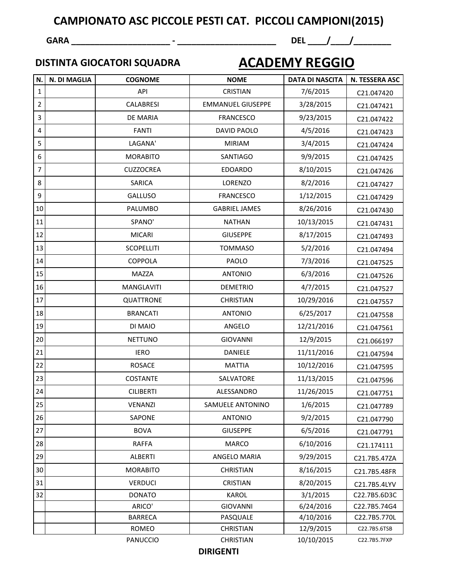## **GARA \_\_\_\_\_\_\_\_\_\_\_\_\_\_\_\_\_\_\_\_\_ - \_\_\_\_\_\_\_\_\_\_\_\_\_\_\_\_\_\_\_\_\_ DEL \_\_\_\_/\_\_\_\_/\_\_\_\_\_\_\_\_**

## **DISTINTA GIOCATORI SQUADRA**

## **ACADEMY REGGIO**

| N.             | N. DI MAGLIA | <b>COGNOME</b>    | <b>NOME</b>              | <b>DATA DI NASCITA</b> | N. TESSERA ASC |
|----------------|--------------|-------------------|--------------------------|------------------------|----------------|
| 1              |              | API               | CRISTIAN                 | 7/6/2015               | C21.047420     |
| $\overline{2}$ |              | CALABRESI         | <b>EMMANUEL GIUSEPPE</b> | 3/28/2015              | C21.047421     |
| 3              |              | DE MARIA          | <b>FRANCESCO</b>         | 9/23/2015              | C21.047422     |
| 4              |              | <b>FANTI</b>      | DAVID PAOLO              | 4/5/2016               | C21.047423     |
| 5              |              | LAGANA'           | <b>MIRIAM</b>            | 3/4/2015               | C21.047424     |
| 6              |              | <b>MORABITO</b>   | SANTIAGO                 | 9/9/2015               | C21.047425     |
| $\overline{7}$ |              | <b>CUZZOCREA</b>  | <b>EDOARDO</b>           | 8/10/2015              | C21.047426     |
| 8              |              | <b>SARICA</b>     | LORENZO                  | 8/2/2016               | C21.047427     |
| 9              |              | <b>GALLUSO</b>    | <b>FRANCESCO</b>         | 1/12/2015              | C21.047429     |
| 10             |              | PALUMBO           | <b>GABRIEL JAMES</b>     | 8/26/2016              | C21.047430     |
| 11             |              | SPANO'            | <b>NATHAN</b>            | 10/13/2015             | C21.047431     |
| 12             |              | <b>MICARI</b>     | <b>GIUSEPPE</b>          | 8/17/2015              | C21.047493     |
| 13             |              | <b>SCOPELLITI</b> | <b>TOMMASO</b>           | 5/2/2016               | C21.047494     |
| 14             |              | <b>COPPOLA</b>    | PAOLO                    | 7/3/2016               | C21.047525     |
| 15             |              | MAZZA             | <b>ANTONIO</b>           | 6/3/2016               | C21.047526     |
| 16             |              | <b>MANGLAVITI</b> | <b>DEMETRIO</b>          | 4/7/2015               | C21.047527     |
| 17             |              | QUATTRONE         | <b>CHRISTIAN</b>         | 10/29/2016             | C21.047557     |
| 18             |              | <b>BRANCATI</b>   | <b>ANTONIO</b>           | 6/25/2017              | C21.047558     |
| 19             |              | DI MAIO           | ANGELO                   | 12/21/2016             | C21.047561     |
| 20             |              | <b>NETTUNO</b>    | <b>GIOVANNI</b>          | 12/9/2015              | C21.066197     |
| 21             |              | <b>IERO</b>       | <b>DANIELE</b>           | 11/11/2016             | C21.047594     |
| 22             |              | <b>ROSACE</b>     | <b>MATTIA</b>            | 10/12/2016             | C21.047595     |
| 23             |              | COSTANTE          | SALVATORE                | 11/13/2015             | C21.047596     |
| 24             |              | <b>CILIBERTI</b>  | ALESSANDRO               | 11/26/2015             | C21.047751     |
| $25\,$         |              | VENANZI           | SAMUELE ANTONINO         | 1/6/2015               | C21.047789     |
| 26             |              | SAPONE            | <b>ANTONIO</b>           | 9/2/2015               | C21.047790     |
| 27             |              | <b>BOVA</b>       | <b>GIUSEPPE</b>          | 6/5/2016               | C21.047791     |
| 28             |              | <b>RAFFA</b>      | <b>MARCO</b>             | 6/10/2016              | C21.174111     |
| 29             |              | <b>ALBERTI</b>    | ANGELO MARIA             | 9/29/2015              | C21.7B5.47ZA   |
| 30             |              | <b>MORABITO</b>   | <b>CHRISTIAN</b>         | 8/16/2015              | C21.7B5.48FR   |
| 31             |              | <b>VERDUCI</b>    | <b>CRISTIAN</b>          | 8/20/2015              | C21.7B5.4LYV   |
| 32             |              | <b>DONATO</b>     | KAROL                    | 3/1/2015               | C22.7B5.6D3C   |
|                |              | ARICO'            | <b>GIOVANNI</b>          | 6/24/2016              | C22.7B5.74G4   |
|                |              | <b>BARRECA</b>    | PASQUALE                 | 4/10/2016              | C22.7B5.770L   |
|                |              | ROMEO             | <b>CHRISTIAN</b>         | 12/9/2015              | C22.7B5.6TSB   |
|                |              | <b>PANUCCIO</b>   | <b>CHRISTIAN</b>         | 10/10/2015             | C22.7B5.7FXP   |

**DIRIGENTI**